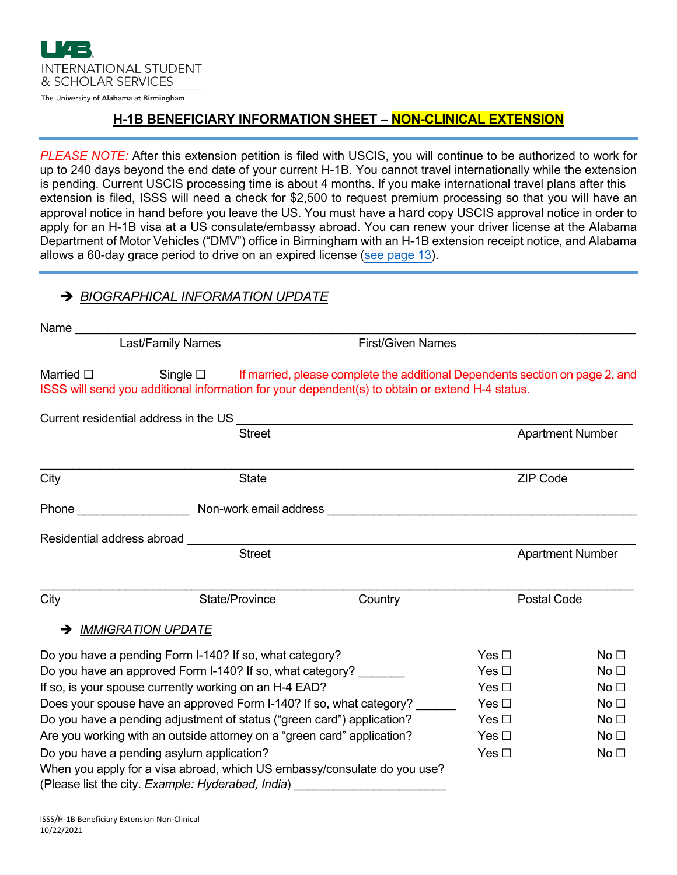

The University of Alabama at Birmingham

#### **H-1B BENEFICIARY INFORMATION SHEET – NON-CLINICAL EXTENSION**

*PLEASE NOTE:* After this extension petition is filed with USCIS, you will continue to be authorized to work for up to 240 days beyond the end date of your current H-1B. You cannot travel internationally while the extension is pending. Current USCIS processing time is about 4 months. If you make international travel plans after this extension is filed, ISSS will need a check for \$2,500 to request premium processing so that you will have an approval notice in hand before you leave the US. You must have a hard copy USCIS approval notice in order to apply for an H-1B visa at a US consulate/embassy abroad. You can renew your driver license at the Alabama Department of Motor Vehicles ("DMV") office in Birmingham with an H-1B extension receipt notice, and Alabama allows a 60-day grace period to drive on an expired license ([see page 13](https://www.alea.gov/sites/default/files/inline-files/Driver%27s Manual 6-14-19.pdf)).

### è *BIOGRAPHICAL INFORMATION UPDATE*

| Name $\_\_$                                                             |                                                   |                          |                                                                                                                                                                                               |                         |                 |  |
|-------------------------------------------------------------------------|---------------------------------------------------|--------------------------|-----------------------------------------------------------------------------------------------------------------------------------------------------------------------------------------------|-------------------------|-----------------|--|
| Last/Family Names                                                       |                                                   | <b>First/Given Names</b> |                                                                                                                                                                                               |                         |                 |  |
| Married $\square$                                                       |                                                   |                          | Single $\Box$ If married, please complete the additional Dependents section on page 2, and<br>ISSS will send you additional information for your dependent(s) to obtain or extend H-4 status. |                         |                 |  |
|                                                                         |                                                   |                          | Current residential address in the US example of the US of the US of the US of the US of the US of the US of the US                                                                           |                         |                 |  |
|                                                                         | <b>Street</b>                                     |                          |                                                                                                                                                                                               | <b>Apartment Number</b> |                 |  |
| City                                                                    |                                                   | <b>State</b>             |                                                                                                                                                                                               | <b>ZIP Code</b>         |                 |  |
|                                                                         |                                                   |                          |                                                                                                                                                                                               |                         |                 |  |
|                                                                         |                                                   |                          |                                                                                                                                                                                               |                         |                 |  |
|                                                                         | <b>Street</b>                                     |                          |                                                                                                                                                                                               | <b>Apartment Number</b> |                 |  |
| City                                                                    |                                                   | State/Province           | Country                                                                                                                                                                                       | <b>Postal Code</b>      |                 |  |
| →                                                                       | <b>IMMIGRATION UPDATE</b>                         |                          |                                                                                                                                                                                               |                         |                 |  |
| Do you have a pending Form I-140? If so, what category?                 |                                                   |                          |                                                                                                                                                                                               | Yes $\square$           | No <sub>1</sub> |  |
| Do you have an approved Form I-140? If so, what category? _______       |                                                   |                          |                                                                                                                                                                                               | Yes $\square$           | No <sub>1</sub> |  |
| If so, is your spouse currently working on an H-4 EAD?                  |                                                   |                          |                                                                                                                                                                                               | Yes $\square$           | No <sub>1</sub> |  |
| Does your spouse have an approved Form I-140? If so, what category?     |                                                   |                          |                                                                                                                                                                                               | Yes $\square$           | No <sub>1</sub> |  |
| Do you have a pending adjustment of status ("green card") application?  |                                                   |                          |                                                                                                                                                                                               | Yes $\Box$              | No <sub>1</sub> |  |
| Are you working with an outside attorney on a "green card" application? |                                                   |                          |                                                                                                                                                                                               | Yes $\square$           | No <sub>1</sub> |  |
| Do you have a pending asylum application?                               |                                                   |                          |                                                                                                                                                                                               | Yes $\square$           | No <sub>1</sub> |  |
|                                                                         |                                                   |                          | When you apply for a visa abroad, which US embassy/consulate do you use?                                                                                                                      |                         |                 |  |
|                                                                         | (Please list the city. Example: Hyderabad, India) |                          |                                                                                                                                                                                               |                         |                 |  |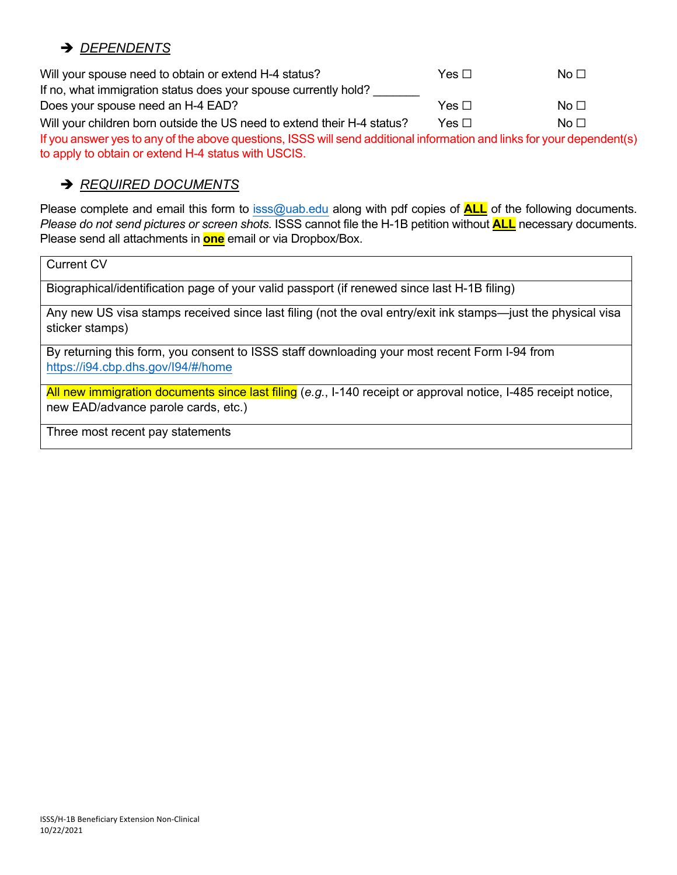## è *DEPENDENTS*

Will your spouse need to obtain or extend H-4 status? The Sound Yes □ No □ If no, what immigration status does your spouse currently hold? Does your spouse need an H-4 EAD?  $\Box$  Yes □ No □ Will your children born outside the US need to extend their H-4 status? Yes □ No □ If you answer yes to any of the above questions, ISSS will send additional information and links for your dependent(s) to apply to obtain or extend H-4 status with USCIS.

# è *REQUIRED DOCUMENTS*

Please complete and email this form to [isss@uab.edu](mailto:isss@uab.edu) along with pdf copies of **ALL** of the following documents. *Please do not send pictures or screen shots.* ISSS cannot file the H-1B petition without **ALL** necessary documents. Please send all attachments in **one** email or via Dropbox/Box.

Current CV

Biographical/identification page of your valid passport (if renewed since last H-1B filing)

Any new US visa stamps received since last filing (not the oval entry/exit ink stamps—just the physical visa sticker stamps)

By returning this form, you consent to ISSS staff downloading your most recent Form I-94 from <https://i94.cbp.dhs.gov/I94/#/home>

All new immigration documents since last filing (*e.g.*, I-140 receipt or approval notice, I-485 receipt notice, new EAD/advance parole cards, etc.)

Three most recent pay statements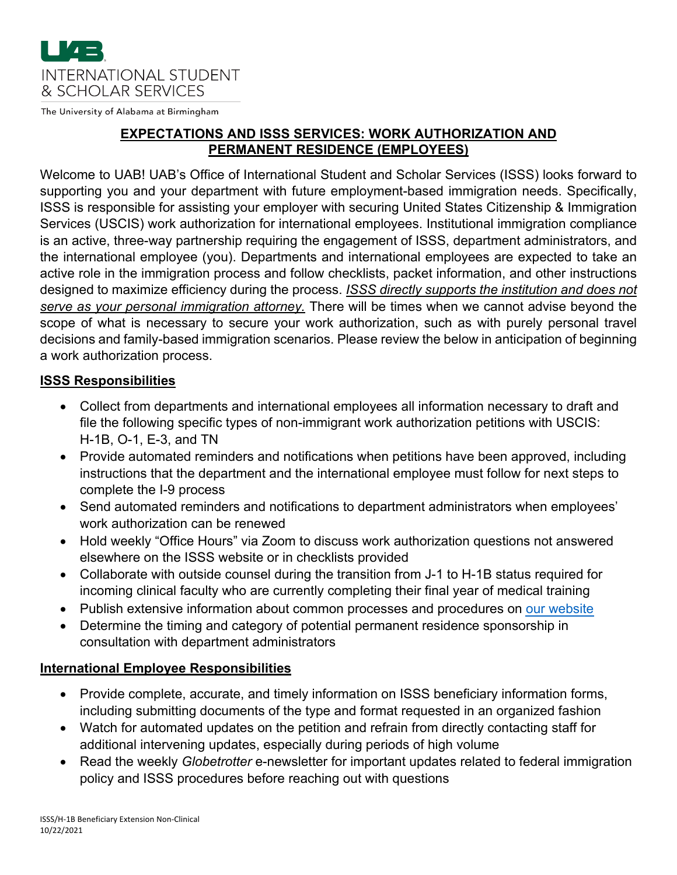

The University of Alabama at Birmingham

### **EXPECTATIONS AND ISSS SERVICES: WORK AUTHORIZATION AND PERMANENT RESIDENCE (EMPLOYEES)**

Welcome to UAB! UAB's Office of International Student and Scholar Services (ISSS) looks forward to supporting you and your department with future employment-based immigration needs. Specifically, ISSS is responsible for assisting your employer with securing United States Citizenship & Immigration Services (USCIS) work authorization for international employees. Institutional immigration compliance is an active, three-way partnership requiring the engagement of ISSS, department administrators, and the international employee (you). Departments and international employees are expected to take an active role in the immigration process and follow checklists, packet information, and other instructions designed to maximize efficiency during the process. *ISSS directly supports the institution and does not serve as your personal immigration attorney.* There will be times when we cannot advise beyond the scope of what is necessary to secure your work authorization, such as with purely personal travel decisions and family-based immigration scenarios. Please review the below in anticipation of beginning a work authorization process.

#### **ISSS Responsibilities**

- Collect from departments and international employees all information necessary to draft and file the following specific types of non-immigrant work authorization petitions with USCIS: H-1B, O-1, E-3, and TN
- Provide automated reminders and notifications when petitions have been approved, including instructions that the department and the international employee must follow for next steps to complete the I-9 process
- Send automated reminders and notifications to department administrators when employees' work authorization can be renewed
- Hold weekly "Office Hours" via Zoom to discuss work authorization questions not answered elsewhere on the ISSS website or in checklists provided
- Collaborate with outside counsel during the transition from J-1 to H-1B status required for incoming clinical faculty who are currently completing their final year of medical training
- Publish extensive information about common processes and procedures on [our website](https://www.uab.edu/global/employees-scholars/international-faculty-staff)
- Determine the timing and category of potential permanent residence sponsorship in consultation with department administrators

#### **International Employee Responsibilities**

- Provide complete, accurate, and timely information on ISSS beneficiary information forms, including submitting documents of the type and format requested in an organized fashion
- Watch for automated updates on the petition and refrain from directly contacting staff for additional intervening updates, especially during periods of high volume
- Read the weekly *Globetrotter* e-newsletter for important updates related to federal immigration policy and ISSS procedures before reaching out with questions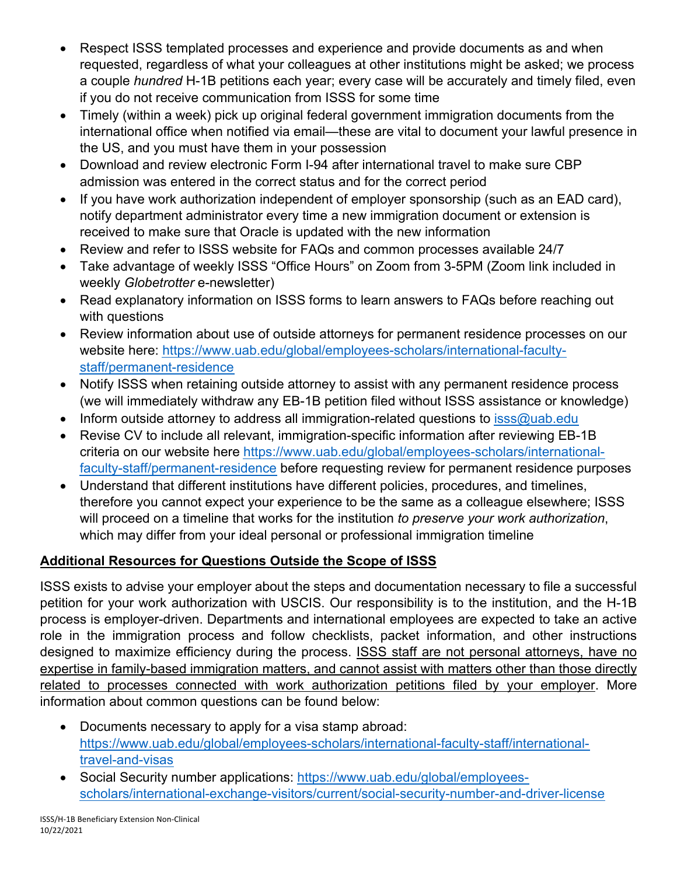- Respect ISSS templated processes and experience and provide documents as and when requested, regardless of what your colleagues at other institutions might be asked; we process a couple *hundred* H-1B petitions each year; every case will be accurately and timely filed, even if you do not receive communication from ISSS for some time
- Timely (within a week) pick up original federal government immigration documents from the international office when notified via email—these are vital to document your lawful presence in the US, and you must have them in your possession
- Download and review electronic Form I-94 after international travel to make sure CBP admission was entered in the correct status and for the correct period
- If you have work authorization independent of employer sponsorship (such as an EAD card), notify department administrator every time a new immigration document or extension is received to make sure that Oracle is updated with the new information
- Review and refer to ISSS website for FAQs and common processes available 24/7
- Take advantage of weekly ISSS "Office Hours" on Zoom from 3-5PM (Zoom link included in weekly *Globetrotter* e-newsletter)
- Read explanatory information on ISSS forms to learn answers to FAQs before reaching out with questions
- Review information about use of outside attorneys for permanent residence processes on our [website here: https://www.uab.edu/global/employees-scholars/international-faculty](https://www.uab.edu/global/employees-scholars/international-faculty-staff/permanent-residence)staff/permanent-residence
- Notify ISSS when retaining outside attorney to assist with any permanent residence process (we will immediately withdraw any EB-1B petition filed without ISSS assistance or knowledge)
- Inform outside attorney to address all immigration-related questions to [isss@uab.edu](mailto:isss@uab.edu)
- Revise CV to include all relevant, immigration-specific information after reviewing EB-1B [criteria on our website here https://www.uab.edu/global/employees-scholars/international](https://www.uab.edu/global/employees-scholars/international-faculty-staff/permanent-residence)faculty-staff/permanent-residence before requesting review for permanent residence purposes
- Understand that different institutions have different policies, procedures, and timelines, therefore you cannot expect your experience to be the same as a colleague elsewhere; ISSS will proceed on a timeline that works for the institution *to preserve your work authorization*, which may differ from your ideal personal or professional immigration timeline

# **Additional Resources for Questions Outside the Scope of ISSS**

ISSS exists to advise your employer about the steps and documentation necessary to file a successful petition for your work authorization with USCIS. Our responsibility is to the institution, and the H-1B process is employer-driven. Departments and international employees are expected to take an active role in the immigration process and follow checklists, packet information, and other instructions designed to maximize efficiency during the process. ISSS staff are not personal attorneys, have no expertise in family-based immigration matters, and cannot assist with matters other than those directly related to processes connected with work authorization petitions filed by your employer. More information about common questions can be found below:

- Documents necessary to apply for a visa stamp abroad: [https://www.uab.edu/global/employees-scholars/international-faculty-staff/international](https://www.uab.edu/global/employees-scholars/international-faculty-staff/international-travel-and-visas)travel-and-visas
- Social Security number applications: https://www.uab.edu/global/employees[scholars/international-exchange-visitors/current/social-security-number-and-driver-license](https://www.uab.edu/global/employees-scholars/international-exchange-visitors/current/social-security-number-and-driver-license)